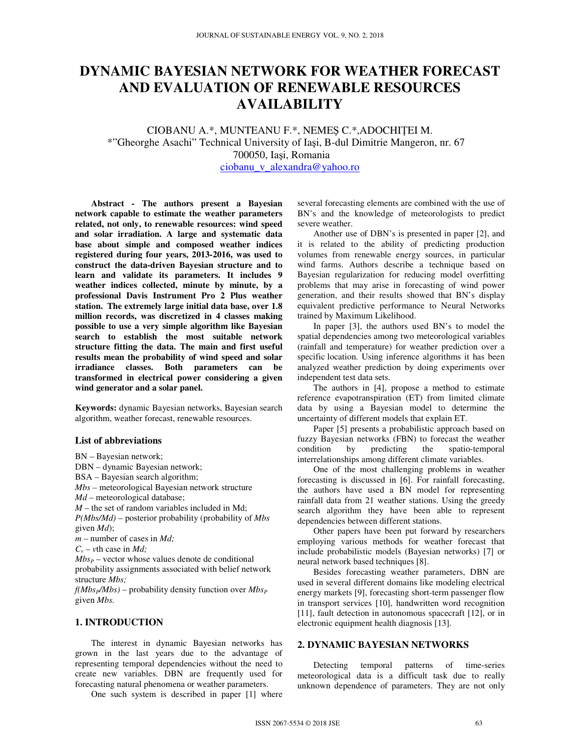# **DYNAMIC BAYESIAN NETWORK FOR WEATHER FORECAST AND EVALUATION OF RENEWABLE RESOURCES AVAILABILITY**

CIOBANU A.\*, MUNTEANU F.\*, NEMEŞ C.\*,ADOCHIŢEI M. \*"Gheorghe Asachi" Technical University of Iaşi, B-dul Dimitrie Mangeron, nr. 67 700050, Iaşi, Romania ciobanu\_v\_alexandra@yahoo.ro

**Abstract - The authors present a Bayesian network capable to estimate the weather parameters related, not only, to renewable resources: wind speed and solar irradiation. A large and systematic data base about simple and composed weather indices registered during four years, 2013-2016, was used to construct the data-driven Bayesian structure and to learn and validate its parameters. It includes 9 weather indices collected, minute by minute, by a professional Davis Instrument Pro 2 Plus weather station. The extremely large initial data base, over 1.8 million records, was discretized in 4 classes making possible to use a very simple algorithm like Bayesian search to establish the most suitable network structure fitting the data. The main and first useful results mean the probability of wind speed and solar irradiance classes. Both parameters can be transformed in electrical power considering a given wind generator and a solar panel.** 

**Keywords:** dynamic Bayesian networks, Bayesian search algorithm, weather forecast, renewable resources.

#### **List of abbreviations**

BN – Bayesian network; DBN – dynamic Bayesian network; BSA – Bayesian search algorithm; *Mbs* – meteorological Bayesian network structure *Md* – meteorological database; *M* – the set of random variables included in Md; *P(Mbs/Md)* – posterior probability (probability of *Mbs*  given *Md*); *m* – number of cases in *Md;*   $C_v$  – *v*th case in *Md*;  $Mbs<sub>P</sub>$  – vector whose values denote de conditional probability assignments associated with belief network structure *Mbs;*   $f(Mbs_P/Mbs)$  – probability density function over  $Mbs_P$ 

given *Mbs.*

### **1. INTRODUCTION**

The interest in dynamic Bayesian networks has grown in the last years due to the advantage of representing temporal dependencies without the need to create new variables. DBN are frequently used for forecasting natural phenomena or weather parameters.

One such system is described in paper [1] where

several forecasting elements are combined with the use of BN's and the knowledge of meteorologists to predict severe weather.

Another use of DBN's is presented in paper [2], and it is related to the ability of predicting production volumes from renewable energy sources, in particular wind farms. Authors describe a technique based on Bayesian regularization for reducing model overfitting problems that may arise in forecasting of wind power generation, and their results showed that BN's display equivalent predictive performance to Neural Networks trained by Maximum Likelihood.

In paper [3], the authors used BN's to model the spatial dependencies among two meteorological variables (rainfall and temperature) for weather prediction over a specific location. Using inference algorithms it has been analyzed weather prediction by doing experiments over independent test data sets.

The authors in [4], propose a method to estimate reference evapotranspiration (ET) from limited climate data by using a Bayesian model to determine the uncertainty of different models that explain ET.

Paper [5] presents a probabilistic approach based on fuzzy Bayesian networks (FBN) to forecast the weather condition by predicting the spatio-temporal interrelationships among different climate variables.

One of the most challenging problems in weather forecasting is discussed in [6]. For rainfall forecasting, the authors have used a BN model for representing rainfall data from 21 weather stations. Using the greedy search algorithm they have been able to represent dependencies between different stations.

Other papers have been put forward by researchers employing various methods for weather forecast that include probabilistic models (Bayesian networks) [7] or neural network based techniques [8].

Besides forecasting weather parameters, DBN are used in several different domains like modeling electrical energy markets [9], forecasting short-term passenger flow in transport services [10], handwritten word recognition [11], fault detection in autonomous spacecraft [12], or in electronic equipment health diagnosis [13].

### **2. DYNAMIC BAYESIAN NETWORKS**

Detecting temporal patterns of time-series meteorological data is a difficult task due to really unknown dependence of parameters. They are not only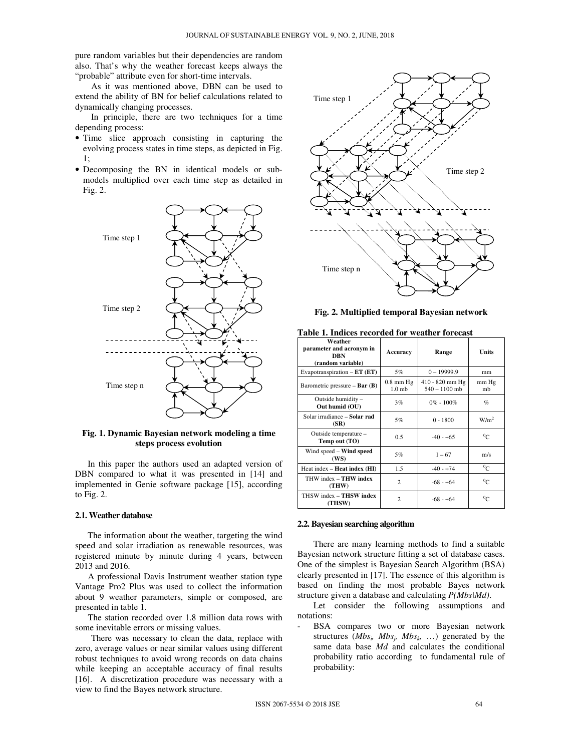pure random variables but their dependencies are random also. That's why the weather forecast keeps always the "probable" attribute even for short-time intervals.

As it was mentioned above, DBN can be used to extend the ability of BN for belief calculations related to dynamically changing processes.

In principle, there are two techniques for a time depending process:

- Time slice approach consisting in capturing the evolving process states in time steps, as depicted in Fig. 1;
- Decomposing the BN in identical models or submodels multiplied over each time step as detailed in Fig. 2.



**Fig. 1. Dynamic Bayesian network modeling a time steps process evolution** 

In this paper the authors used an adapted version of DBN compared to what it was presented in [14] and implemented in Genie software package [15], according to Fig. 2.

#### **2.1. Weather database**

The information about the weather, targeting the wind speed and solar irradiation as renewable resources, was registered minute by minute during 4 years, between 2013 and 2016.

A professional Davis Instrument weather station type Vantage Pro2 Plus was used to collect the information about 9 weather parameters, simple or composed, are presented in table 1.

The station recorded over 1.8 million data rows with some inevitable errors or missing values.

There was necessary to clean the data, replace with zero, average values or near similar values using different robust techniques to avoid wrong records on data chains while keeping an acceptable accuracy of final results [16]. A discretization procedure was necessary with a view to find the Bayes network structure.



**Fig. 2. Multiplied temporal Bayesian network** 

**Table 1. Indices recorded for weather forecast** 

| Weather<br>parameter and acronym in<br>DRN<br>(random variable) | Accuracy                           | Range                              | Units            |  |  |
|-----------------------------------------------------------------|------------------------------------|------------------------------------|------------------|--|--|
| Evapotranspiration $-ET$ ( $ET$ )                               | $5\%$                              | $0 - 19999.9$                      | mm               |  |  |
| Barometric pressure $-$ Bar (B)                                 | $0.8$ mm $Hg$<br>1.0 <sub>mb</sub> | 410 - 820 mm Hg<br>$540 - 1100$ mb | mm Hg<br>mb      |  |  |
| Outside humidity -<br>Out humid (OU)                            | 3%                                 | $0\% - 100\%$                      | $\%$             |  |  |
| Solar irradiance - Solar rad<br>(SR)                            | 5%                                 | $0 - 1800$                         | W/m <sup>2</sup> |  |  |
| Outside temperature -<br>Temp out (TO)                          | 0.5                                | $-40 - +65$                        | $^{0}C$          |  |  |
| Wind speed – Wind speed<br>(WS)                                 | 5%                                 | $1 - 67$                           | m/s              |  |  |
| Heat index $-$ <b>Heat index</b> ( $\textbf{H}\textbf{I}$ )     | 1.5                                | $-40 - +74$                        | $^{0}C$          |  |  |
| THW index $-$ THW index<br>(THW)                                | $\overline{c}$                     | $-68 - +64$                        | $^{0}C$          |  |  |
| THSW index - THSW index<br>(THSW)                               | $\mathfrak{D}$                     | $-68 - +64$                        | $^0C$            |  |  |

#### **2.2. Bayesian searching algorithm**

There are many learning methods to find a suitable Bayesian network structure fitting a set of database cases. One of the simplest is Bayesian Search Algorithm (BSA) clearly presented in [17]. The essence of this algorithm is based on finding the most probable Bayes network structure given a database and calculating *P(Mbs|Md)*.

Let consider the following assumptions and notations:

BSA compares two or more Bayesian network structures  $(Mbs_i, Mbs_j, Mbs_k, ...)$  generated by the same data base *Md* and calculates the conditional probability ratio according to fundamental rule of probability: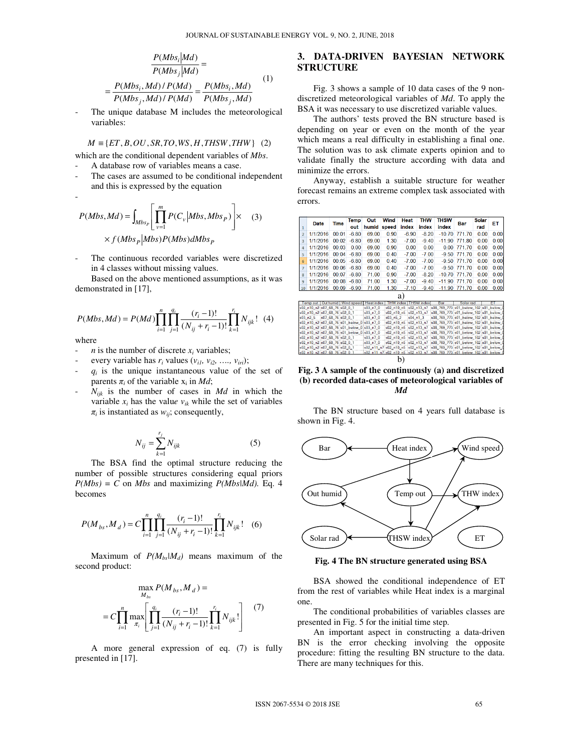$$
\frac{P(Mbs_i|Md)}{P(Mbs_j|Md)} =
$$
\n
$$
= \frac{P(Mbs_i, Md)/P(Md)}{P(Mbs_j, Md)/P(Md)} = \frac{P(Mbs_i, Md)}{P(Mbs_j, Md)}
$$
\n(1)

The unique database M includes the meteorological variables:

$$
M \equiv \{ET, B, OU, SR, TO, WS, H, THSW, THW\} \quad (2)
$$

which are the conditional dependent variables of *Mbs*.

- A database row of variables means a case. The cases are assumed to be conditional independent
- and this is expressed by the equation

$$
P(Mbs, Md) = \int_{Mbs_P} \left[ \prod_{v=1}^{m} P(C_v | Mbs, Mbs_P) \right] \times f(Mbs_P | Mbs)P(Mbs) dMbs_P
$$
 (3)

The continuous recorded variables were discretized in 4 classes without missing values.

Based on the above mentioned assumptions, as it was demonstrated in [17],

$$
P(Mbs, Md) = P(Md) \prod_{i=1}^{n} \prod_{j=1}^{q_i} \frac{(r_i - 1)!}{(N_{ij} + r_i - 1)!} \prod_{k=1}^{r_i} N_{ijk}!
$$
 (4)

where

- *n* is the number of discrete  $x_i$  variables;
- every variable has  $r_i$  values  $(v_{i1}, v_{i2}, \ldots, v_{iri});$
- $-q_i$  is the unique instantaneous value of the set of parents  $\pi_i$  of the variable  $x_i$  in *Md*;
- $N_{ijk}$  is the number of cases in  $Md$  in which the variable  $x_i$  has the value  $v_{ik}$  while the set of variables *πi* is instantiated as *wij*; consequently,

$$
N_{ij} = \sum_{k=1}^{r_j} N_{ijk}
$$
 (5)

The BSA find the optimal structure reducing the number of possible structures considering equal priors  $P(Mbs) = C$  on *Mbs* and maximizing  $P(Mbs|Md)$ . Eq. 4 becomes

$$
P(M_{bs}, M_d) = C \prod_{i=1}^{n} \prod_{j=1}^{q_i} \frac{(r_i - 1)!}{(N_{ij} + r_i - 1)!} \prod_{k=1}^{r_i} N_{ijk}!
$$
 (6)

Maximum of  $P(M_{bs} | M_d)$  means maximum of the second product:

$$
\max_{M_{bs}} P(M_{bs}, M_d) =
$$
  
=  $C \prod_{i=1}^{n} \max_{\pi_i} \left[ \prod_{j=1}^{q_i} \frac{(r_i - 1)!}{(N_{ij} + r_i - 1)!} \prod_{k=1}^{r_i} N_{ijk}! \right]$  (7)

A more general expression of eq. (7) is fully presented in [17].

# **3. DATA-DRIVEN BAYESIAN NETWORK STRUCTURE**

Fig. 3 shows a sample of 10 data cases of the 9 nondiscretized meteorological variables of *Md*. To apply the BSA it was necessary to use discretized variable values.

The authors' tests proved the BN structure based is depending on year or even on the month of the year which means a real difficulty in establishing a final one. The solution was to ask climate experts opinion and to validate finally the structure according with data and minimize the errors.

Anyway, establish a suitable structure for weather forecast remains an extreme complex task associated with errors.

|                | Date<br>Time                             |  | Temp              | Wind<br>Out |                        |                                                                       | Heat                           | THW   |            | THSW                            | Bar |                                              | Solar  |           | EТ   |      |      |  |
|----------------|------------------------------------------|--|-------------------|-------------|------------------------|-----------------------------------------------------------------------|--------------------------------|-------|------------|---------------------------------|-----|----------------------------------------------|--------|-----------|------|------|------|--|
| 1              |                                          |  |                   |             | out                    | humid                                                                 | speed                          | index |            | index                           |     | index                                        |        |           | rad  |      |      |  |
| $\overline{2}$ | 1/1/2016                                 |  | 00:01             |             | $-6.80$                | 69.00                                                                 | 0.90                           |       | $-6.90$    | $-8.20$                         |     | $-10.70$                                     | 771.70 |           | 0.00 |      | 0.00 |  |
| 3              | 1/1/2016                                 |  | 00:02             |             | $-6.80$                | 69.00                                                                 | 1.30                           |       | $-7.00$    | $-9.40$                         |     | $-11.90$                                     | 771.80 |           | 0.00 |      | 0.00 |  |
| 4              | 1/1/2016                                 |  | 00:03             |             | 0.00                   | 69.00                                                                 | 0.90                           |       | 0.00       | 0.00                            |     | 0.00                                         | 771.70 |           |      | 0.00 | 0.00 |  |
| 5              | 1/1/2016                                 |  | 00:04             |             | $-6.80$                | 69.00                                                                 | 0.40                           |       | $-7.00$    | $-7.00$                         |     | $-9.50$                                      | 771.70 |           | 0.00 |      | 0.00 |  |
| 6              | 1/1/2016                                 |  | 00:05             |             | $-6.80$                | 69.00                                                                 | 0.40                           |       | $-7.00$    | $-7.00$                         |     | $-9.50$                                      | 771.70 |           | 0.00 |      | 0.00 |  |
| $\overline{7}$ | 1/1/2016                                 |  | 00:06             |             | $-6.80$                | 69.00                                                                 | 0.40                           |       | $-7.00$    | $-7.00$                         |     | $-9.50$                                      | 771.70 |           | 0.00 |      | 0.00 |  |
| 8              | 1/1/2016                                 |  | 00:07             |             | $-6.80$                | 71.00                                                                 | 0.90                           |       | $-7.00$    | $-8.20$                         |     | $-10.70$                                     | 771.70 |           | 0.00 |      | 0.00 |  |
| 9              | 1/1/2016                                 |  | 00:08             |             | $-6.80$                | 71.00                                                                 | 1.30                           |       | $-7.00$    | $-9.40$                         |     | $-11.90$                                     | 771.70 |           | 0.00 |      | 0.00 |  |
| 10             | 1/1/2016                                 |  | 00:09             |             | $-6.90$                | 71.00                                                                 | 1.30                           |       | $-7.10$    | $-9.40$                         |     | $-11.90$                                     | 771.70 |           | 0.00 |      | 0.00 |  |
| a              |                                          |  |                   |             |                        |                                                                       |                                |       |            |                                 |     |                                              |        |           |      |      |      |  |
|                |                                          |  |                   |             |                        |                                                                       |                                |       |            |                                 |     |                                              |        |           |      |      |      |  |
|                | Temp out<br>s02 n10 n2 s07 68 76 s02 0 1 |  |                   |             | Out humid   Wind speed | <b>Heatindex</b><br>$s03$ n7 $0$                                      | <b>THW</b> index<br>s02 n10 n5 |       |            | <b>THSW</b> index<br>s02 n13 n7 |     | Bar<br>s08 769 773 s01 below 102 s01 below ( |        | Solar rad |      |      | FT   |  |
|                | s02 n10 n2 s07 68 76 s02 0 1             |  |                   |             |                        | $s03$ n7 $0$                                                          | s02 n10 n5 s02 n13 n7          |       |            |                                 |     | s08 769 773 s01 below 102 s01 below (        |        |           |      |      |      |  |
|                | s03 n2 5                                 |  | s07 68 76 s02 0 1 |             |                        | s03_n7_0                                                              | $s03$ n5 2                     |       | $s04$ n1 3 |                                 |     | s08 769 773 s01 below 102 s01 below 0        |        |           |      |      |      |  |
|                |                                          |  |                   |             |                        | s02 n10 n2 s07 68 76 s01 below 0 s03 n7 0                             | s02 n10 n5                     |       |            | s02 n13 n7                      |     | s08 769 773 s01 below 102 s01 below          |        |           |      |      |      |  |
|                |                                          |  |                   |             |                        | s02 n10 n2 s07 68 76 s01 below 0 s03 n7 0                             | s02 n10 n5                     |       |            | s02 n13 n7                      |     | s08 769 773 s01 below 102 s01 below (        |        |           |      |      |      |  |
|                |                                          |  |                   |             |                        | s02 n10 n2 s07 68 76 s01 below 0 s03 n7 0                             | s02 n10 n5                     |       |            | s02 n13 n7                      |     | s08 769 773 s01 below 102 s01 below          |        |           |      |      |      |  |
|                | s02 n10 n2 s07 68 76 s02 0 1             |  |                   |             |                        | s03 n7 0                                                              | s02 n10 n5                     |       |            | s02 n13 n7                      |     | s08 769 773 s01 below 102 s01 below (        |        |           |      |      |      |  |
|                | s02 n10 n2 s07 68 76 s02 0 1             |  |                   |             |                        | s03 n7 0                                                              | s02 n10 n5                     |       |            | s02 n13 n7                      |     | s08_769_773 s01_below_102 s01_below          |        |           |      |      |      |  |
|                | s02_n10_n2 s07_68_76 s02_0_1             |  |                   |             |                        | s02 n11 n7 s02 n10 n5 s02 n13 n7                                      |                                |       |            |                                 |     | s08_769_773 s01_below_102 s01_below_0        |        |           |      |      |      |  |
|                | s02_n10_n2 s07_68_76 s02_0_1             |  |                   |             |                        | s02_n11_n7 s02_n10_n5 s02_n13_n7 s08_769_773 s01_below_102 s01_below_ |                                |       |            |                                 |     |                                              |        |           |      |      |      |  |
| n              |                                          |  |                   |             |                        |                                                                       |                                |       |            |                                 |     |                                              |        |           |      |      |      |  |

**Fig. 3 A sample of the continuously (a) and discretized (b) recorded data-cases of meteorological variables of**  *Md*

The BN structure based on 4 years full database is shown in Fig. 4.



**Fig. 4 The BN structure generated using BSA** 

BSA showed the conditional independence of ET from the rest of variables while Heat index is a marginal one.

The conditional probabilities of variables classes are presented in Fig. 5 for the initial time step.

An important aspect in constructing a data-driven BN is the error checking involving the opposite procedure: fitting the resulting BN structure to the data. There are many techniques for this.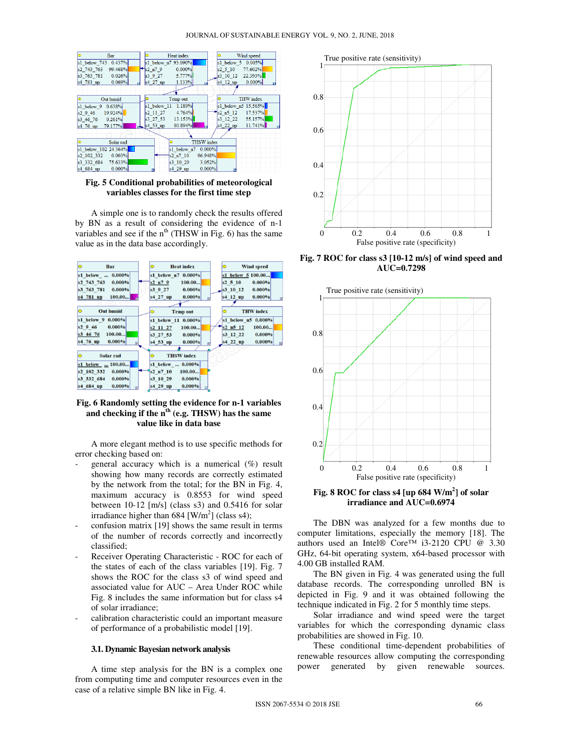

**Fig. 5 Conditional probabilities of meteorological variables classes for the first time step** 

A simple one is to randomly check the results offered by BN as a result of considering the evidence of n-1 variables and see if the  $n<sup>th</sup>$  (THSW in Fig. 6) has the same value as in the data base accordingly.



### **Fig. 6 Randomly setting the evidence for n-1 variables and checking if the nth (e.g. THSW) has the same value like in data base**

A more elegant method is to use specific methods for error checking based on:

- general accuracy which is a numerical  $(\%)$  result showing how many records are correctly estimated by the network from the total; for the BN in Fig. 4, maximum accuracy is 0.8553 for wind speed between 10-12 [m/s] (class s3) and 0.5416 for solar irradiance higher than  $684$  [W/m<sup>2</sup>] (class s4);
- confusion matrix [19] shows the same result in terms of the number of records correctly and incorrectly classified;
- Receiver Operating Characteristic ROC for each of the states of each of the class variables [19]. Fig. 7 shows the ROC for the class s3 of wind speed and associated value for AUC – Area Under ROC while Fig. 8 includes the same information but for class s4 of solar irradiance;
- calibration characteristic could an important measure of performance of a probabilistic model [19].

#### **3.1. Dynamic Bayesian network analysis**

A time step analysis for the BN is a complex one from computing time and computer resources even in the case of a relative simple BN like in Fig. 4.



**Fig. 7 ROC for class s3 [10-12 m/s] of wind speed and AUC=0.7298** 



**Fig. 8 ROC for class s4 [up 684 W/m<sup>2</sup> ] of solar irradiance and AUC=0.6974** 

The DBN was analyzed for a few months due to computer limitations, especially the memory [18]. The authors used an Intel® Core™ i3-2120 CPU @ 3.30 GHz, 64-bit operating system, x64-based processor with 4.00 GB installed RAM.

The BN given in Fig. 4 was generated using the full database records. The corresponding unrolled BN is depicted in Fig. 9 and it was obtained following the technique indicated in Fig. 2 for 5 monthly time steps.

Solar irradiance and wind speed were the target variables for which the corresponding dynamic class probabilities are showed in Fig. 10.

These conditional time-dependent probabilities of renewable resources allow computing the corresponding power generated by given renewable sources.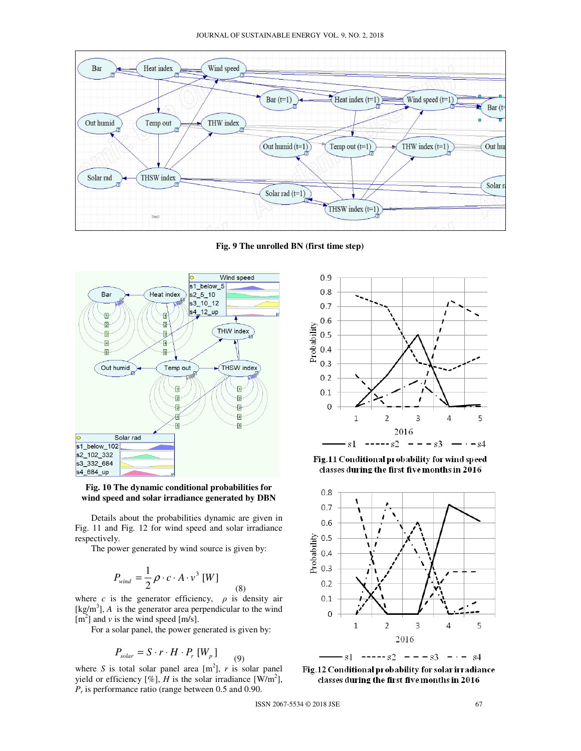

**Fig. 9 The unrolled BN (first time step)** 



**Fig. 10 The dynamic conditional probabilities for wind speed and solar irradiance generated by DBN** 

Details about the probabilities dynamic are given in Fig. 11 and Fig. 12 for wind speed and solar irradiance respectively.

The power generated by wind source is given by:

$$
P_{\text{wind}} = \frac{1}{2} \rho \cdot c \cdot A \cdot v^3 \,[W] \tag{8}
$$

where *c* is the generator efficiency,  $\rho$  is density air  $[kg/m<sup>3</sup>]$ , *A* is the generator area perpendicular to the wind  $[m<sup>2</sup>]$  and *v* is the wind speed [m/s].

For a solar panel, the power generated is given by:

$$
P_{\text{solar}} = S \cdot r \cdot H \cdot P_r \left[ W_p \right]
$$

where *S* is total solar panel area  $[m^2]$ , *r* is solar panel yield or efficiency  $[\%]$ , *H* is the solar irradiance  $[W/m^2]$ , *Pr* is performance ratio (range between 0.5 and 0.90.

(9)